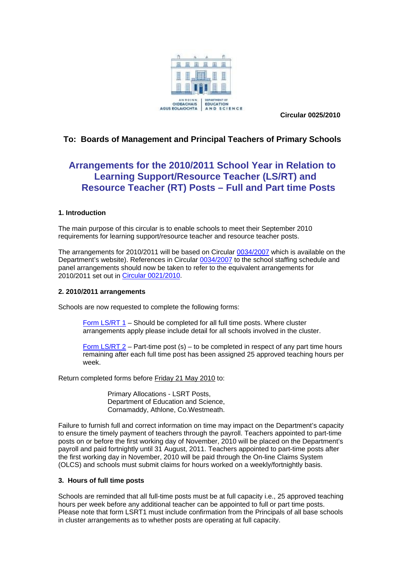

**Circular 0025/2010**

# **To: Boards of Management and Principal Teachers of Primary Schools**

# **Arrangements for the 2010/2011 School Year in Relation to Learning Support/Resource Teacher (LS/RT) and Resource Teacher (RT) Posts – Full and Part time Posts**

# **1. Introduction**

The main purpose of this circular is to enable schools to meet their September 2010 requirements for learning support/resource teacher and resource teacher posts.

The arrangements for 2010/2011 will be based on Circular [0034/2007](http://education.ie/en/Circulars-and-Forms/Archived-Circulars/cl0034_2007.doc) which is available on the Department's website). References in Circular [0034/2007](http://education.ie/en/Circulars-and-Forms/Archived-Circulars/cl0034_2007.doc) to the school staffing schedule and panel arrangements should now be taken to refer to the equivalent arrangements for 2010/2011 set out in [Circular 0021/2010.](http://education.ie/en/Circulars-and-Forms/Active-Circulars/cl0021_2010.pdf)

### **2. 2010/2011 arrangements**

Schools are now requested to complete the following forms:

[Form LS/RT 1](#page-2-0) – Should be completed for all full time posts. Where cluster arrangements apply please include detail for all schools involved in the cluster.

[Form LS/RT 2](#page-5-0) – Part-time post (s) – to be completed in respect of any part time hours remaining after each full time post has been assigned 25 approved teaching hours per week.

Return completed forms before Friday 21 May 2010 to:

Primary Allocations - LSRT Posts, Department of Education and Science, Cornamaddy, Athlone, Co.Westmeath.

Failure to furnish full and correct information on time may impact on the Department's capacity to ensure the timely payment of teachers through the payroll. Teachers appointed to part-time posts on or before the first working day of November, 2010 will be placed on the Department's payroll and paid fortnightly until 31 August, 2011. Teachers appointed to part-time posts after the first working day in November, 2010 will be paid through the On-line Claims System (OLCS) and schools must submit claims for hours worked on a weekly/fortnightly basis.

# **3. Hours of full time posts**

Schools are reminded that all full-time posts must be at full capacity i.e., 25 approved teaching hours per week before any additional teacher can be appointed to full or part time posts. Please note that form LSRT1 must include confirmation from the Principals of all base schools in cluster arrangements as to whether posts are operating at full capacity.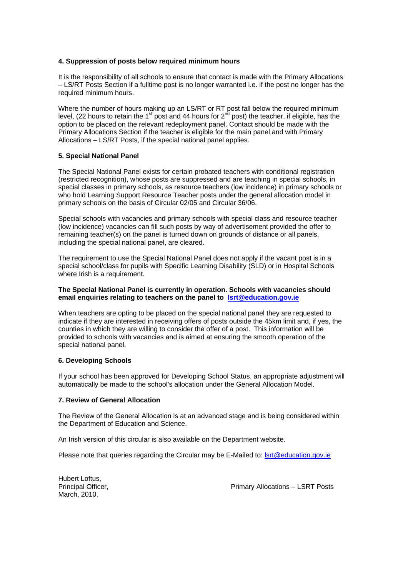### **4. Suppression of posts below required minimum hours**

It is the responsibility of all schools to ensure that contact is made with the Primary Allocations – LS/RT Posts Section if a fulltime post is no longer warranted i.e. if the post no longer has the required minimum hours.

Where the number of hours making up an LS/RT or RT post fall below the required minimum level, (22 hours to retain the 1<sup>st</sup> post and 44 hours for 2<sup>nd</sup> post) the teacher, if eligible, has the option to be placed on the relevant redeployment panel. Contact should be made with the Primary Allocations Section if the teacher is eligible for the main panel and with Primary Allocations – LS/RT Posts, if the special national panel applies.

## **5. Special National Panel**

The Special National Panel exists for certain probated teachers with conditional registration (restricted recognition), whose posts are suppressed and are teaching in special schools, in special classes in primary schools, as resource teachers (low incidence) in primary schools or who hold Learning Support Resource Teacher posts under the general allocation model in primary schools on the basis of Circular 02/05 and Circular 36/06.

Special schools with vacancies and primary schools with special class and resource teacher (low incidence) vacancies can fill such posts by way of advertisement provided the offer to remaining teacher(s) on the panel is turned down on grounds of distance or all panels, including the special national panel, are cleared.

The requirement to use the Special National Panel does not apply if the vacant post is in a special school/class for pupils with Specific Learning Disability (SLD) or in Hospital Schools where Irish is a requirement.

### **The Special National Panel is currently in operation. Schools with vacancies should email enquiries relating to teachers on the panel to [lsrt@education.gov.ie](mailto:lsrt@education.gov.ie)**

When teachers are opting to be placed on the special national panel they are requested to indicate if they are interested in receiving offers of posts outside the 45km limit and, if yes, the counties in which they are willing to consider the offer of a post. This information will be provided to schools with vacancies and is aimed at ensuring the smooth operation of the special national panel.

# **6. Developing Schools**

If your school has been approved for Developing School Status, an appropriate adjustment will automatically be made to the school's allocation under the General Allocation Model.

### **7. Review of General Allocation**

The Review of the General Allocation is at an advanced stage and is being considered within the Department of Education and Science.

An Irish version of this circular is also available on the Department website.

Please note that queries regarding the Circular may be E-Mailed to: [lsrt@education.gov.ie](mailto:lsrt@education.gov.ie)

Hubert Loftus, March, 2010.

Principal Officer, Primary Allocations – LSRT Posts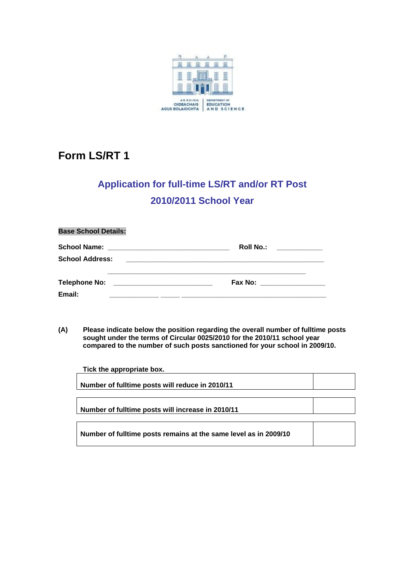

# <span id="page-2-0"></span>**Form LS/RT 1**

# **Application for full-time LS/RT and/or RT Post 2010/2011 School Year**

# **Base School Details:**

|                                                                       | Roll No.: ___________         |
|-----------------------------------------------------------------------|-------------------------------|
| <b>School Address:</b>                                                |                               |
| <b>Telephone No:</b><br><u> 1980 - Andrea Andrew Maria (h. 1980).</u> | Fax No: _____________________ |
| Email:                                                                |                               |

**(A) Please indicate below the position regarding the overall number of fulltime posts sought under the terms of Circular 0025/2010 for the 2010/11 school year compared to the number of such posts sanctioned for your school in 2009/10.** 

| Tick the appropriate box.                         |  |
|---------------------------------------------------|--|
| Number of fulltime posts will reduce in 2010/11   |  |
|                                                   |  |
| Number of fulltime posts will increase in 2010/11 |  |
|                                                   |  |

**Number of fulltime posts remains at the same level as in 2009/10**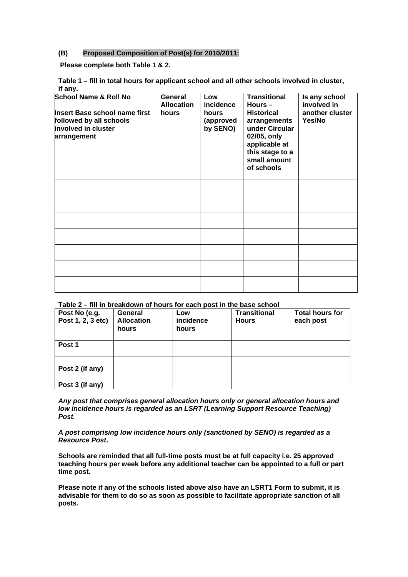# **(B) Proposed Composition of Post(s) for 2010/2011:**

 **Please complete both Table 1 & 2.** 

**Table 1 – fill in total hours for applicant school and all other schools involved in cluster, if any.** 

| <b>School Name &amp; Roll No</b><br><b>Insert Base school name first</b><br>followed by all schools<br>involved in cluster<br>arrangement | General<br><b>Allocation</b><br>hours | Low<br>incidence<br>hours<br>(approved<br>by SENO) | <b>Transitional</b><br>$Hours -$<br><b>Historical</b><br>arrangements<br>under Circular<br>02/05, only<br>applicable at<br>this stage to a<br>small amount<br>of schools | Is any school<br>involved in<br>another cluster<br>Yes/No |
|-------------------------------------------------------------------------------------------------------------------------------------------|---------------------------------------|----------------------------------------------------|--------------------------------------------------------------------------------------------------------------------------------------------------------------------------|-----------------------------------------------------------|
|                                                                                                                                           |                                       |                                                    |                                                                                                                                                                          |                                                           |
|                                                                                                                                           |                                       |                                                    |                                                                                                                                                                          |                                                           |
|                                                                                                                                           |                                       |                                                    |                                                                                                                                                                          |                                                           |
|                                                                                                                                           |                                       |                                                    |                                                                                                                                                                          |                                                           |
|                                                                                                                                           |                                       |                                                    |                                                                                                                                                                          |                                                           |
|                                                                                                                                           |                                       |                                                    |                                                                                                                                                                          |                                                           |
|                                                                                                                                           |                                       |                                                    |                                                                                                                                                                          |                                                           |

# **Table 2 – fill in breakdown of hours for each post in the base school**

| Post No (e.g.<br>Post 1, 2, 3 etc) | General<br><b>Allocation</b><br>hours | Low<br>incidence<br>hours | <b>Transitional</b><br><b>Hours</b> | <b>Total hours for</b><br>each post |
|------------------------------------|---------------------------------------|---------------------------|-------------------------------------|-------------------------------------|
| Post 1                             |                                       |                           |                                     |                                     |
| Post 2 (if any)                    |                                       |                           |                                     |                                     |
| Post 3 (if any)                    |                                       |                           |                                     |                                     |

*Any post that comprises general allocation hours only or general allocation hours and low incidence hours is regarded as an LSRT (Learning Support Resource Teaching) Post.* 

*A post comprising low incidence hours only (sanctioned by SENO) is regarded as a Resource Post***.** 

**Schools are reminded that all full-time posts must be at full capacity i.e. 25 approved teaching hours per week before any additional teacher can be appointed to a full or part time post.** 

**Please note if any of the schools listed above also have an LSRT1 Form to submit, it is advisable for them to do so as soon as possible to facilitate appropriate sanction of all posts.**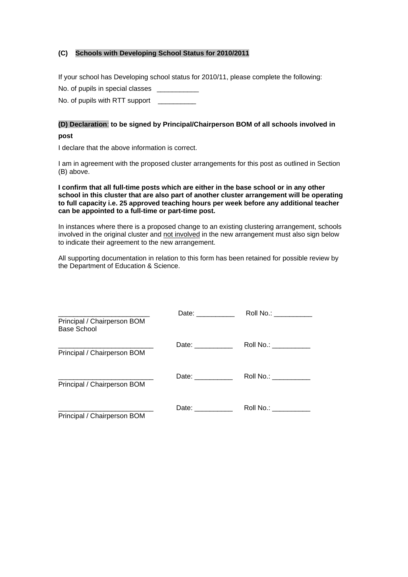## **(C) Schools with Developing School Status for 2010/2011**

If your school has Developing school status for 2010/11, please complete the following:

No. of pupils in special classes

No. of pupils with RTT support \_

# **(D) Declaration**: **to be signed by Principal/Chairperson BOM of all schools involved in**

## **post**

I declare that the above information is correct.

I am in agreement with the proposed cluster arrangements for this post as outlined in Section (B) above.

**I confirm that all full-time posts which are either in the base school or in any other school in this cluster that are also part of another cluster arrangement will be operating to full capacity i.e. 25 approved teaching hours per week before any additional teacher can be appointed to a full-time or part-time post.** 

In instances where there is a proposed change to an existing clustering arrangement, schools involved in the original cluster and not involved in the new arrangement must also sign below to indicate their agreement to the new arrangement.

All supporting documentation in relation to this form has been retained for possible review by the Department of Education & Science.

|                                            | Date: ____________ | Roll No.: ___________ |  |
|--------------------------------------------|--------------------|-----------------------|--|
| Principal / Chairperson BOM<br>Base School |                    |                       |  |
| Principal / Chairperson BOM                | Date: __________   | Roll No.: __________  |  |
|                                            |                    |                       |  |
|                                            | Date: __________   | Roll No.: ___________ |  |
| Principal / Chairperson BOM                |                    |                       |  |
|                                            | Date: ___________  | Roll No.: ___________ |  |
| Principal / Chairperson BOM                |                    |                       |  |